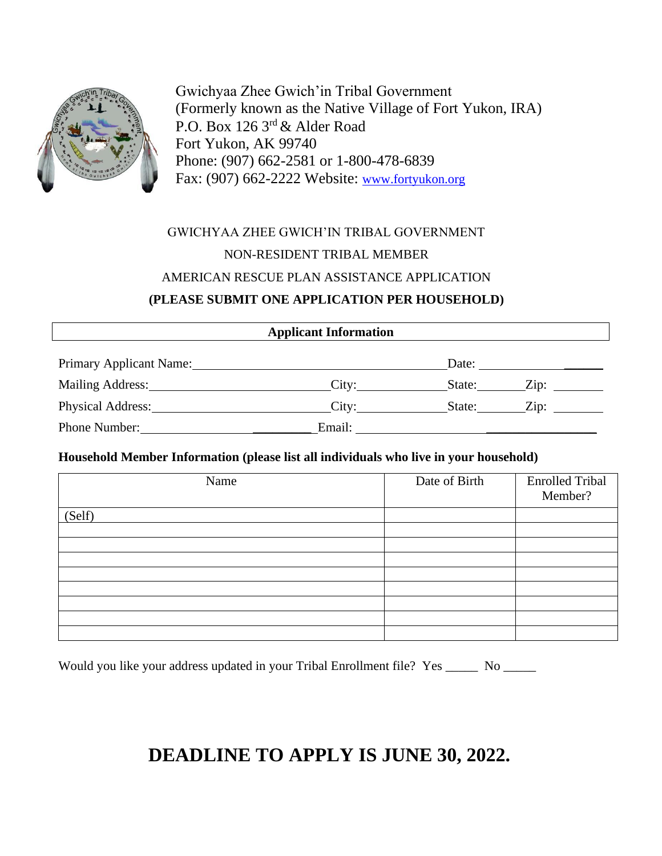

Gwichyaa Zhee Gwich'in Tribal Government (Formerly known as the Native Village of Fort Yukon, IRA) P.O. Box 126 3rd & Alder Road Fort Yukon, AK 99740 Phone: (907) 662-2581 or 1-800-478-6839 Fax: (907) 662-2222 Website: [www.fortyukon.org](http://www.fortyukon.org/)

# GWICHYAA ZHEE GWICH'IN TRIBAL GOVERNMENT NON-RESIDENT TRIBAL MEMBER AMERICAN RESCUE PLAN ASSISTANCE APPLICATION **(PLEASE SUBMIT ONE APPLICATION PER HOUSEHOLD)**

**Applicant Information**

| Primary Applicant Name: |         | Date:  |                     |
|-------------------------|---------|--------|---------------------|
| Mailing Address:        | $City+$ | State: | $Z$ <sub>1D</sub> : |
| Physical Address:       | City:   | State: | $\text{Zip}:$       |
| Phone Number:           | Email:  |        |                     |

#### **Household Member Information (please list all individuals who live in your household)**

| Name   | Date of Birth | <b>Enrolled Tribal</b><br>Member? |
|--------|---------------|-----------------------------------|
| (Self) |               |                                   |
|        |               |                                   |
|        |               |                                   |
|        |               |                                   |
|        |               |                                   |
|        |               |                                   |
|        |               |                                   |
|        |               |                                   |
|        |               |                                   |

| Would you like your address updated in your Tribal Enrollment file? Yes |  |  |
|-------------------------------------------------------------------------|--|--|
|-------------------------------------------------------------------------|--|--|

# **DEADLINE TO APPLY IS JUNE 30, 2022.**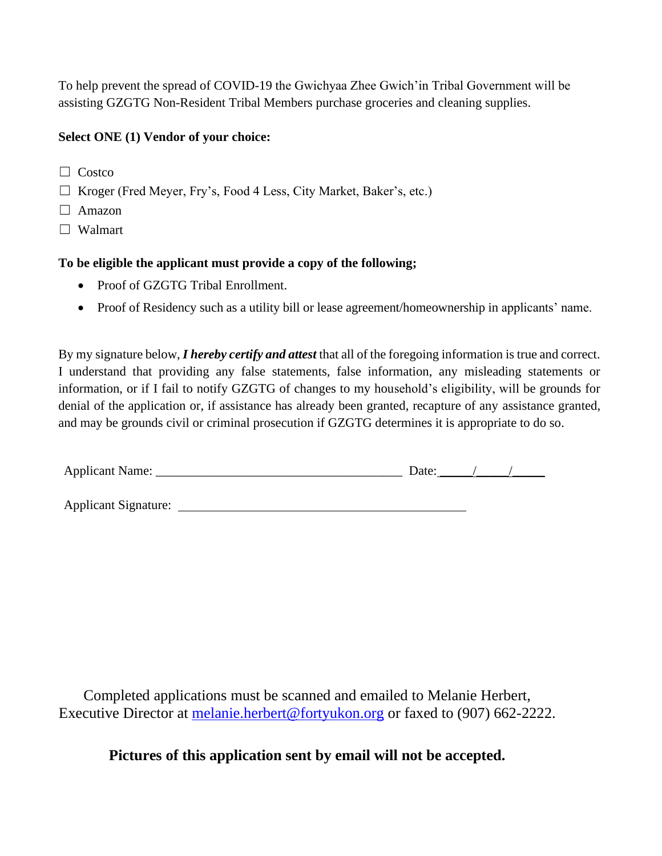To help prevent the spread of COVID-19 the Gwichyaa Zhee Gwich'in Tribal Government will be assisting GZGTG Non-Resident Tribal Members purchase groceries and cleaning supplies.

# **Select ONE (1) Vendor of your choice:**

- □ Costco
- ☐ Kroger (Fred Meyer, Fry's, Food 4 Less, City Market, Baker's, etc.)
- $\Box$  Amazon
- ☐ Walmart

## **To be eligible the applicant must provide a copy of the following;**

- Proof of GZGTG Tribal Enrollment.
- Proof of Residency such as a utility bill or lease agreement/homeownership in applicants' name.

By my signature below, *I hereby certify and attest* that all of the foregoing information is true and correct. I understand that providing any false statements, false information, any misleading statements or information, or if I fail to notify GZGTG of changes to my household's eligibility, will be grounds for denial of the application or, if assistance has already been granted, recapture of any assistance granted, and may be grounds civil or criminal prosecution if GZGTG determines it is appropriate to do so.

| Apr<br>plicant<br>N<br>чаше. |  |  |
|------------------------------|--|--|
|                              |  |  |

Applicant Signature:

Completed applications must be scanned and emailed to Melanie Herbert, Executive Director at [melanie.herbert@fortyukon.org](mailto:melanie.herbert@fortyukon.org) or faxed to (907) 662-2222.

**Pictures of this application sent by email will not be accepted.**